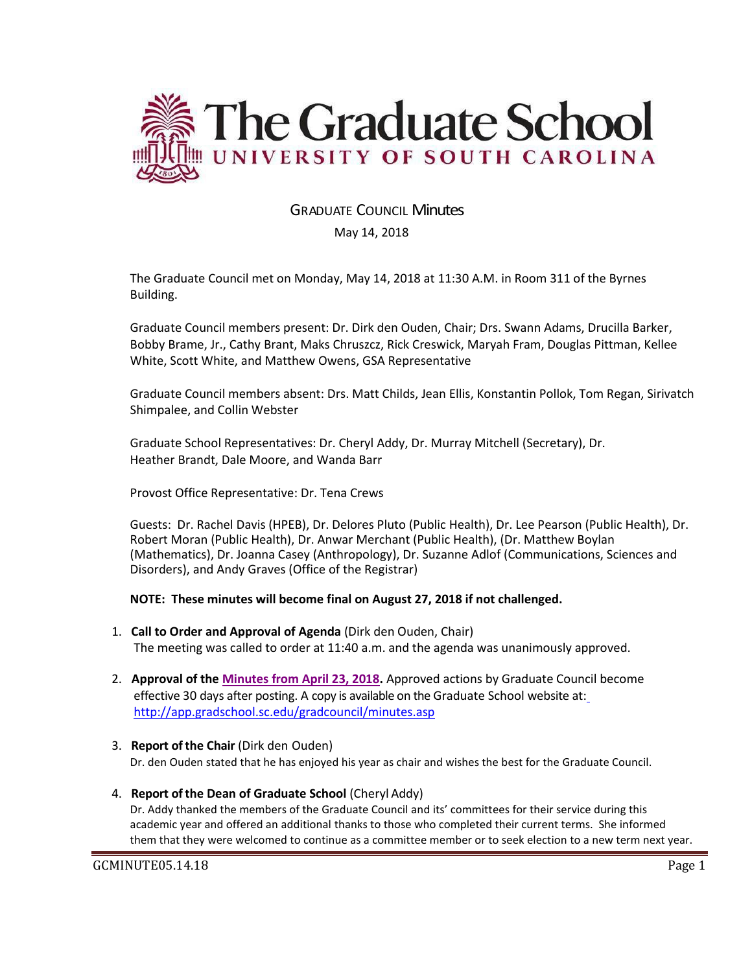

# GRADUATE COUNCIL Minutes

### May 14, 2018

The Graduate Council met on Monday, May 14, 2018 at 11:30 A.M. in Room 311 of the Byrnes Building.

Graduate Council members present: Dr. Dirk den Ouden, Chair; Drs. Swann Adams, Drucilla Barker, Bobby Brame, Jr., Cathy Brant, Maks Chruszcz, Rick Creswick, Maryah Fram, Douglas Pittman, Kellee White, Scott White, and Matthew Owens, GSA Representative

Graduate Council members absent: Drs. Matt Childs, Jean Ellis, Konstantin Pollok, Tom Regan, Sirivatch Shimpalee, and Collin Webster

Graduate School Representatives: Dr. Cheryl Addy, Dr. Murray Mitchell (Secretary), Dr. Heather Brandt, Dale Moore, and Wanda Barr

Provost Office Representative: Dr. Tena Crews

Guests: Dr. Rachel Davis (HPEB), Dr. Delores Pluto (Public Health), Dr. Lee Pearson (Public Health), Dr. Robert Moran (Public Health), Dr. Anwar Merchant (Public Health), (Dr. Matthew Boylan (Mathematics), Dr. Joanna Casey (Anthropology), Dr. Suzanne Adlof (Communications, Sciences and Disorders), and Andy Graves (Office of the Registrar)

### **NOTE: These minutes will become final on August 27, 2018 if not challenged.**

- 1. **Call to Order and Approval of Agenda** (Dirk den Ouden, Chair) The meeting was called to order at 11:40 a.m. and the agenda was unanimously approved.
- 2. **Approval of the Minutes from April 23, 2018.** Approved actions by Graduate Council become effective 30 days after posting. A copy is available on the Graduate School website at[:](http://app.gradschool.sc.edu/gradcouncil/minutes.asp) <http://app.gradschool.sc.edu/gradcouncil/minutes.asp>
- 3. **Report of the Chair** (Dirk den Ouden) Dr. den Ouden stated that he has enjoyed his year as chair and wishes the best for the Graduate Council.
- 4. **Report of the Dean of Graduate School** (Cheryl Addy) Dr. Addy thanked the members of the Graduate Council and its' committees for their service during this academic year and offered an additional thanks to those who completed their current terms. She informed them that they were welcomed to continue as a committee member or to seek election to a new term next year.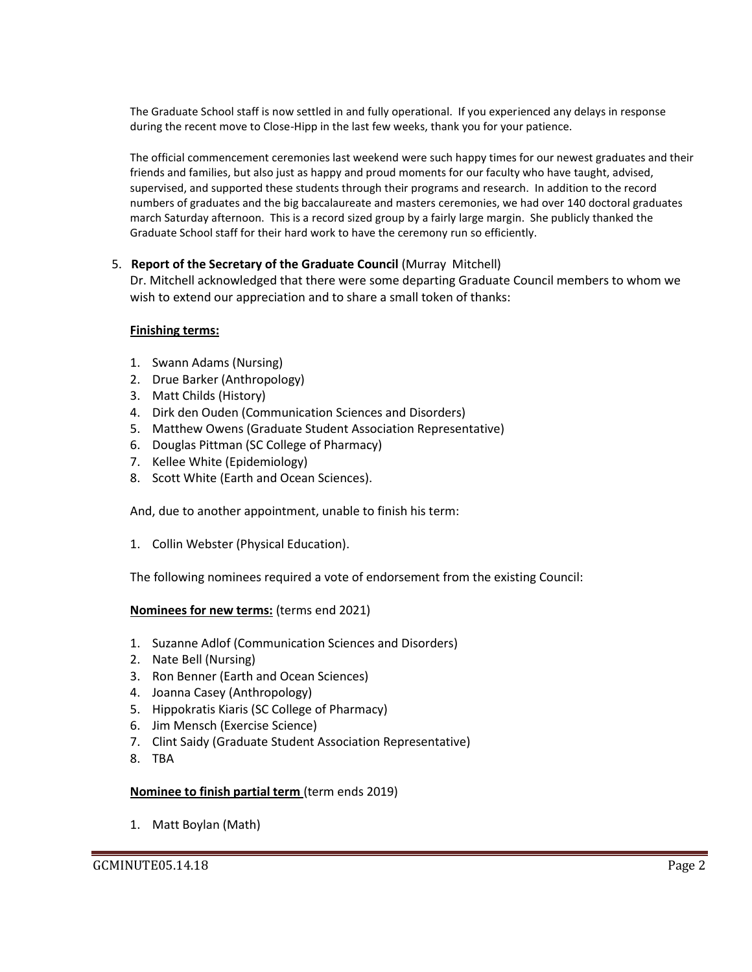The Graduate School staff is now settled in and fully operational. If you experienced any delays in response during the recent move to Close-Hipp in the last few weeks, thank you for your patience.

The official commencement ceremonies last weekend were such happy times for our newest graduates and their friends and families, but also just as happy and proud moments for our faculty who have taught, advised, supervised, and supported these students through their programs and research. In addition to the record numbers of graduates and the big baccalaureate and masters ceremonies, we had over 140 doctoral graduates march Saturday afternoon. This is a record sized group by a fairly large margin. She publicly thanked the Graduate School staff for their hard work to have the ceremony run so efficiently.

### 5. **Report of the Secretary of the Graduate Council** (Murray Mitchell)

Dr. Mitchell acknowledged that there were some departing Graduate Council members to whom we wish to extend our appreciation and to share a small token of thanks:

### **Finishing terms:**

- 1. Swann Adams (Nursing)
- 2. Drue Barker (Anthropology)
- 3. Matt Childs (History)
- 4. Dirk den Ouden (Communication Sciences and Disorders)
- 5. Matthew Owens (Graduate Student Association Representative)
- 6. Douglas Pittman (SC College of Pharmacy)
- 7. Kellee White (Epidemiology)
- 8. Scott White (Earth and Ocean Sciences).

And, due to another appointment, unable to finish his term:

1. Collin Webster (Physical Education).

The following nominees required a vote of endorsement from the existing Council:

### **Nominees for new terms:** (terms end 2021)

- 1. Suzanne Adlof (Communication Sciences and Disorders)
- 2. Nate Bell (Nursing)
- 3. Ron Benner (Earth and Ocean Sciences)
- 4. Joanna Casey (Anthropology)
- 5. Hippokratis Kiaris (SC College of Pharmacy)
- 6. Jim Mensch (Exercise Science)
- 7. Clint Saidy (Graduate Student Association Representative)
- 8. TBA

### **Nominee to finish partial term** (term ends 2019)

1. Matt Boylan (Math)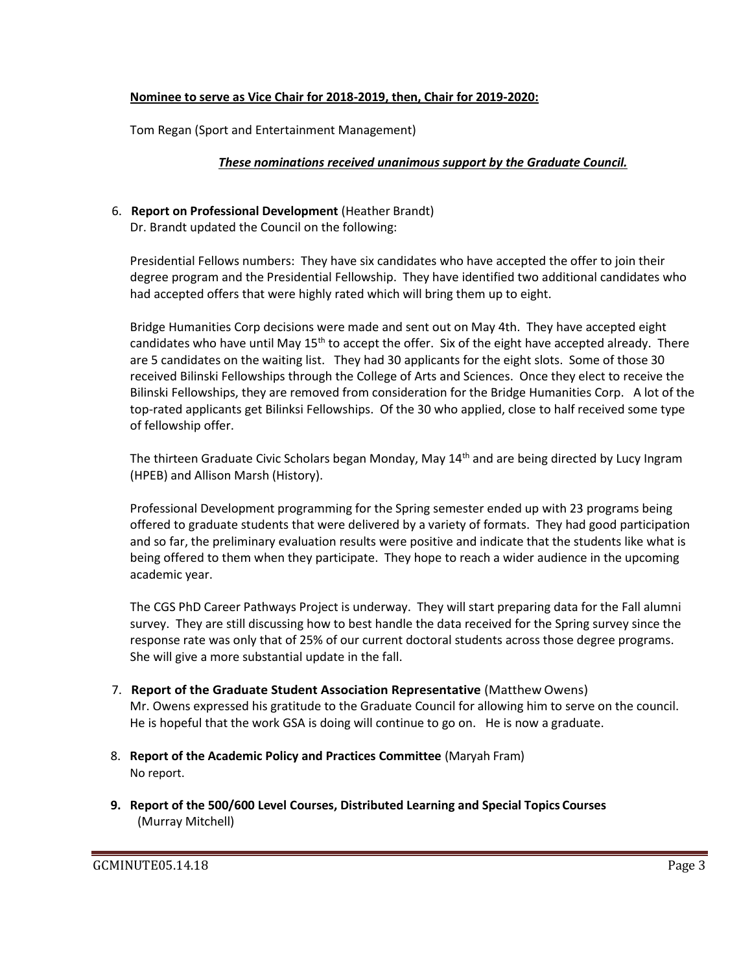### **Nominee to serve as Vice Chair for 2018-2019, then, Chair for 2019-2020:**

Tom Regan (Sport and Entertainment Management)

### *These nominations received unanimous support by the Graduate Council.*

# 6. **Report on Professional Development** (Heather Brandt)

Dr. Brandt updated the Council on the following:

Presidential Fellows numbers: They have six candidates who have accepted the offer to join their degree program and the Presidential Fellowship. They have identified two additional candidates who had accepted offers that were highly rated which will bring them up to eight.

Bridge Humanities Corp decisions were made and sent out on May 4th. They have accepted eight candidates who have until May  $15<sup>th</sup>$  to accept the offer. Six of the eight have accepted already. There are 5 candidates on the waiting list. They had 30 applicants for the eight slots. Some of those 30 received Bilinski Fellowships through the College of Arts and Sciences. Once they elect to receive the Bilinski Fellowships, they are removed from consideration for the Bridge Humanities Corp. A lot of the top-rated applicants get Bilinksi Fellowships. Of the 30 who applied, close to half received some type of fellowship offer.

The thirteen Graduate Civic Scholars began Monday, May 14<sup>th</sup> and are being directed by Lucy Ingram (HPEB) and Allison Marsh (History).

Professional Development programming for the Spring semester ended up with 23 programs being offered to graduate students that were delivered by a variety of formats. They had good participation and so far, the preliminary evaluation results were positive and indicate that the students like what is being offered to them when they participate. They hope to reach a wider audience in the upcoming academic year.

The CGS PhD Career Pathways Project is underway. They will start preparing data for the Fall alumni survey. They are still discussing how to best handle the data received for the Spring survey since the response rate was only that of 25% of our current doctoral students across those degree programs. She will give a more substantial update in the fall.

- 7. **Report of the Graduate Student Association Representative** (Matthew Owens) Mr. Owens expressed his gratitude to the Graduate Council for allowing him to serve on the council. He is hopeful that the work GSA is doing will continue to go on. He is now a graduate.
- 8. **Report of the Academic Policy and Practices Committee** (Maryah Fram) No report.
- **9. Report of the 500/600 Level Courses, Distributed Learning and Special Topics Courses** (Murray Mitchell)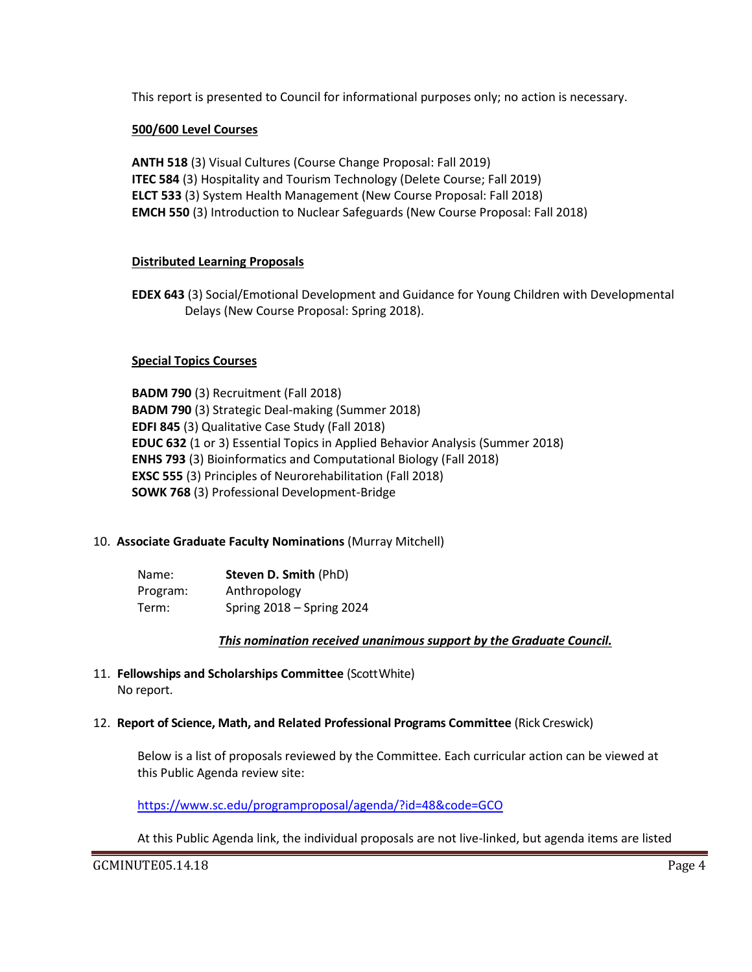This report is presented to Council for informational purposes only; no action is necessary.

### **500/600 Level Courses**

**ANTH 518** (3) Visual Cultures (Course Change Proposal: Fall 2019) **ITEC 584** (3) Hospitality and Tourism Technology (Delete Course; Fall 2019) **ELCT 533** (3) System Health Management (New Course Proposal: Fall 2018) **EMCH 550** (3) Introduction to Nuclear Safeguards (New Course Proposal: Fall 2018)

### **Distributed Learning Proposals**

**EDEX 643** (3) Social/Emotional Development and Guidance for Young Children with Developmental Delays (New Course Proposal: Spring 2018).

### **Special Topics Courses**

**BADM 790** (3) Recruitment (Fall 2018) **BADM 790** (3) Strategic Deal-making (Summer 2018) **EDFI 845** (3) Qualitative Case Study (Fall 2018) **EDUC 632** (1 or 3) Essential Topics in Applied Behavior Analysis (Summer 2018) **ENHS 793** (3) Bioinformatics and Computational Biology (Fall 2018) **EXSC 555** (3) Principles of Neurorehabilitation (Fall 2018) **SOWK 768** (3) Professional Development-Bridge

# 10. **Associate Graduate Faculty Nominations** (Murray Mitchell)

| Name:    | Steven D. Smith (PhD)     |
|----------|---------------------------|
| Program: | Anthropology              |
| Term:    | Spring 2018 - Spring 2024 |

### *This nomination received unanimous support by the Graduate Council.*

11. **Fellowships and Scholarships Committee** (ScottWhite) No report.

### 12. **Report of Science, Math, and Related Professional Programs Committee** (Rick Creswick)

Below is a list of proposals reviewed by the Committee. Each curricular action can be viewed at this Public Agenda review site:

<https://www.sc.edu/programproposal/agenda/?id=48&code=GCO>

At this Public Agenda link, the individual proposals are not live-linked, but agenda items are listed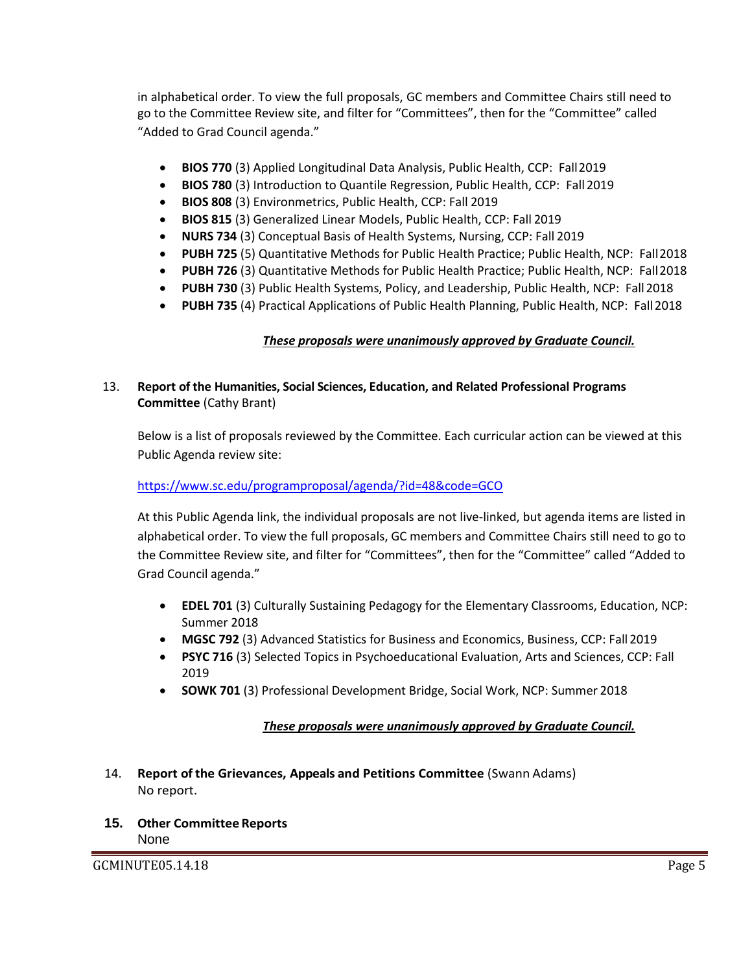in alphabetical order. To view the full proposals, GC members and Committee Chairs still need to go to the Committee Review site, and filter for "Committees", then for the "Committee" called "Added to Grad Council agenda."

- **BIOS 770** (3) Applied Longitudinal Data Analysis, Public Health, CCP: Fall2019
- **BIOS 780** (3) Introduction to Quantile Regression, Public Health, CCP: Fall 2019
- **BIOS 808** (3) Environmetrics, Public Health, CCP: Fall 2019
- **BIOS 815** (3) Generalized Linear Models, Public Health, CCP: Fall 2019
- **NURS 734** (3) Conceptual Basis of Health Systems, Nursing, CCP: Fall 2019
- **PUBH 725** (5) Quantitative Methods for Public Health Practice; Public Health, NCP: Fall2018
- **PUBH 726** (3) Quantitative Methods for Public Health Practice; Public Health, NCP: Fall2018
- **PUBH 730** (3) Public Health Systems, Policy, and Leadership, Public Health, NCP: Fall2018
- **PUBH 735** (4) Practical Applications of Public Health Planning, Public Health, NCP: Fall2018

# *These proposals were unanimously approved by Graduate Council.*

### 13. **Report of the Humanities, Social Sciences, Education, and Related Professional Programs Committee** (Cathy Brant)

Below is a list of proposals reviewed by the Committee. Each curricular action can be viewed at this Public Agenda review site:

### <https://www.sc.edu/programproposal/agenda/?id=48&code=GCO>

At this Public Agenda link, the individual proposals are not live-linked, but agenda items are listed in alphabetical order. To view the full proposals, GC members and Committee Chairs still need to go to the Committee Review site, and filter for "Committees", then for the "Committee" called "Added to Grad Council agenda."

- **EDEL 701** (3) Culturally Sustaining Pedagogy for the Elementary Classrooms, Education, NCP: Summer 2018
- **MGSC 792** (3) Advanced Statistics for Business and Economics, Business, CCP: Fall 2019
- **PSYC 716** (3) Selected Topics in Psychoeducational Evaluation, Arts and Sciences, CCP: Fall 2019
- **SOWK 701** (3) Professional Development Bridge, Social Work, NCP: Summer 2018

### *These proposals were unanimously approved by Graduate Council.*

- 14. **Report of the Grievances, Appeals and Petitions Committee** (Swann Adams) No report.
- **15. Other Committee Reports** None

GCMINUTE05.14.18 Page 5